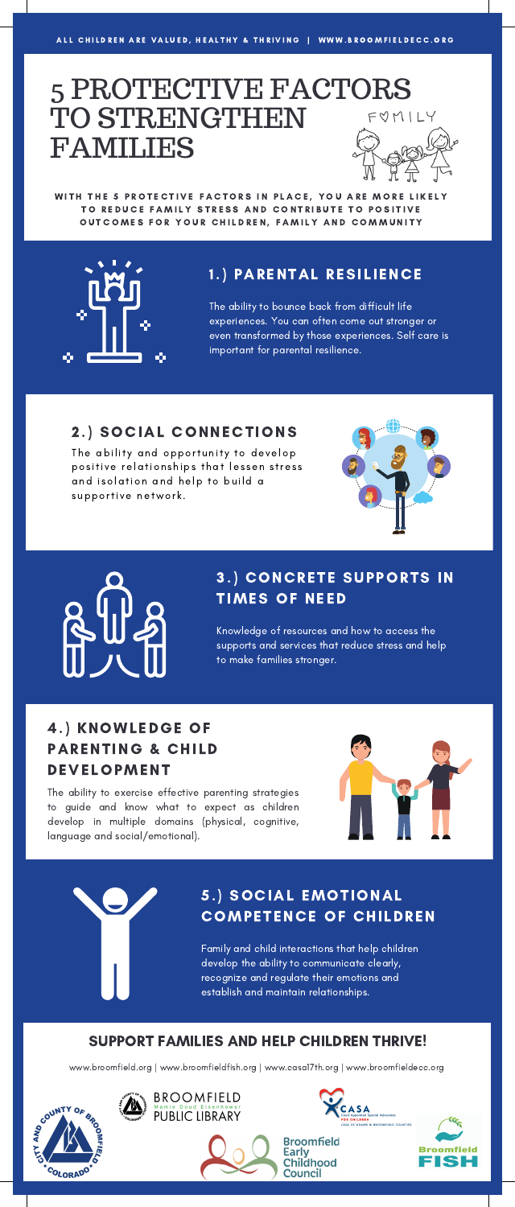# 5 PROTECTIVE FACTORS TO STRENGTHEN FUMILY FAMILIES

WITH THE 5 PROTECTIVE FACTORS IN PLACE, YOU ARE MORE LIKELY TO REDUCE FAMILY STRESS AND CONTRIBUTE TO POSITIVE OUTCOMES FOR YOUR CHILDREN, FAMILY AND COMMUNITY



### 1.) PARENTAL RESILIENCE

The ability to bounce back from difficult life experiences. You can often come out stronger or even transformed by those experiences. Self care is important for parental resilience.

#### 2 .) SOCIAL CONNECTIONS

The ability and opportunity to develop positive relationships that lessen stress and isolation and help to build a supportive network.





### 3.) CONCRETE SUPPORTS IN **TIMES OF NEED**

Knowledge of resources and how to access the supports and services that reduce stress and help to make families stronger.

### 4.) KNOWLEDGE OF PARENTING & CHILD **DEVELOPMENT**

The ability to exercise effective parenting strategies to guide and know what to expect as children develop in multiple domains (physical, cognitive, language and social/emotional).



## 5.) SOCIAL EMOTIONAL **COMPETENCE OF CHILDREN**

Family and child interactions that help children develop the ability to communicate clearly, recognize and regulate their emotions and establish and maintain relationships.

SUPPORT FAMILIES AND HELP CHILDREN THRIVE!

www.broomfield.org | www.broomfieldfish.org | www.casa17th.org | www.broomfieldecc.org

**BROOMFIELD** 

**PUBLIC LIBRARY** 



Ø